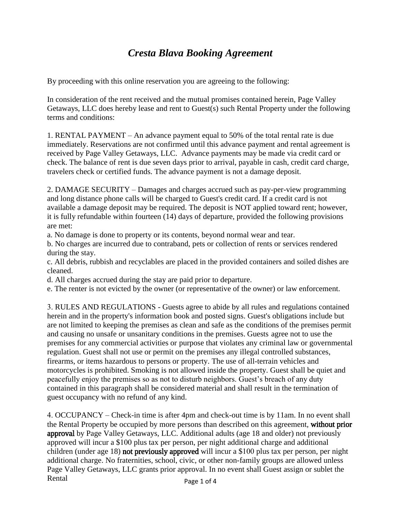## *Cresta Blava Booking Agreement*

By proceeding with this online reservation you are agreeing to the following:

In consideration of the rent received and the mutual promises contained herein, Page Valley Getaways, LLC does hereby lease and rent to Guest(s) such Rental Property under the following terms and conditions:

1. RENTAL PAYMENT – An advance payment equal to 50% of the total rental rate is due immediately. Reservations are not confirmed until this advance payment and rental agreement is received by Page Valley Getaways, LLC. Advance payments may be made via credit card or check. The balance of rent is due seven days prior to arrival, payable in cash, credit card charge, travelers check or certified funds. The advance payment is not a damage deposit.

2. DAMAGE SECURITY – Damages and charges accrued such as pay-per-view programming and long distance phone calls will be charged to Guest's credit card. If a credit card is not available a damage deposit may be required. The deposit is NOT applied toward rent; however, it is fully refundable within fourteen (14) days of departure, provided the following provisions are met:

a. No damage is done to property or its contents, beyond normal wear and tear.

b. No charges are incurred due to contraband, pets or collection of rents or services rendered during the stay.

c. All debris, rubbish and recyclables are placed in the provided containers and soiled dishes are cleaned.

d. All charges accrued during the stay are paid prior to departure.

e. The renter is not evicted by the owner (or representative of the owner) or law enforcement.

3. RULES AND REGULATIONS - Guests agree to abide by all rules and regulations contained herein and in the property's information book and posted signs. Guest's obligations include but are not limited to keeping the premises as clean and safe as the conditions of the premises permit and causing no unsafe or unsanitary conditions in the premises. Guests agree not to use the premises for any commercial activities or purpose that violates any criminal law or governmental regulation. Guest shall not use or permit on the premises any illegal controlled substances, firearms, or items hazardous to persons or property. The use of all-terrain vehicles and motorcycles is prohibited. Smoking is not allowed inside the property. Guest shall be quiet and peacefully enjoy the premises so as not to disturb neighbors. Guest's breach of any duty contained in this paragraph shall be considered material and shall result in the termination of guest occupancy with no refund of any kind.

4. OCCUPANCY – Check-in time is after 4pm and check-out time is by 11am. In no event shall the Rental Property be occupied by more persons than described on this agreement, without prior approval by Page Valley Getaways, LLC. Additional adults (age 18 and older) not previously approved will incur a \$100 plus tax per person, per night additional charge and additional children (under age 18) not previously approved will incur a \$100 plus tax per person, per night additional charge. No fraternities, school, civic, or other non-family groups are allowed unless Page Valley Getaways, LLC grants prior approval. In no event shall Guest assign or sublet the Rental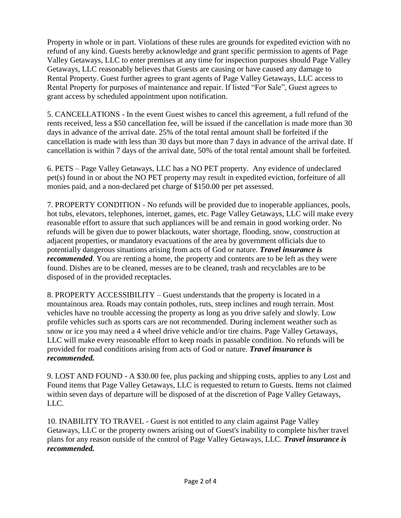Property in whole or in part. Violations of these rules are grounds for expedited eviction with no refund of any kind. Guests hereby acknowledge and grant specific permission to agents of Page Valley Getaways, LLC to enter premises at any time for inspection purposes should Page Valley Getaways, LLC reasonably believes that Guests are causing or have caused any damage to Rental Property. Guest further agrees to grant agents of Page Valley Getaways, LLC access to Rental Property for purposes of maintenance and repair. If listed "For Sale", Guest agrees to grant access by scheduled appointment upon notification.

5. CANCELLATIONS - In the event Guest wishes to cancel this agreement, a full refund of the rents received, less a \$50 cancellation fee, will be issued if the cancellation is made more than 30 days in advance of the arrival date. 25% of the total rental amount shall be forfeited if the cancellation is made with less than 30 days but more than 7 days in advance of the arrival date. If cancellation is within 7 days of the arrival date, 50% of the total rental amount shall be forfeited.

6. PETS – Page Valley Getaways, LLC has a NO PET property. Any evidence of undeclared pet(s) found in or about the NO PET property may result in expedited eviction, forfeiture of all monies paid, and a non-declared pet charge of \$150.00 per pet assessed.

7. PROPERTY CONDITION - No refunds will be provided due to inoperable appliances, pools, hot tubs, elevators, telephones, internet, games, etc. Page Valley Getaways, LLC will make every reasonable effort to assure that such appliances will be and remain in good working order. No refunds will be given due to power blackouts, water shortage, flooding, snow, construction at adjacent properties, or mandatory evacuations of the area by government officials due to potentially dangerous situations arising from acts of God or nature. *Travel insurance is recommended*. You are renting a home, the property and contents are to be left as they were found. Dishes are to be cleaned, messes are to be cleaned, trash and recyclables are to be disposed of in the provided receptacles.

8. PROPERTY ACCESSIBILITY – Guest understands that the property is located in a mountainous area. Roads may contain potholes, ruts, steep inclines and rough terrain. Most vehicles have no trouble accessing the property as long as you drive safely and slowly. Low profile vehicles such as sports cars are not recommended. During inclement weather such as snow or ice you may need a 4 wheel drive vehicle and/or tire chains. Page Valley Getaways, LLC will make every reasonable effort to keep roads in passable condition. No refunds will be provided for road conditions arising from acts of God or nature. *Travel insurance is recommended.*

9. LOST AND FOUND - A \$30.00 fee, plus packing and shipping costs, applies to any Lost and Found items that Page Valley Getaways, LLC is requested to return to Guests. Items not claimed within seven days of departure will be disposed of at the discretion of Page Valley Getaways, LLC.

10. INABILITY TO TRAVEL - Guest is not entitled to any claim against Page Valley Getaways, LLC or the property owners arising out of Guest's inability to complete his/her travel plans for any reason outside of the control of Page Valley Getaways, LLC. *Travel insurance is recommended.*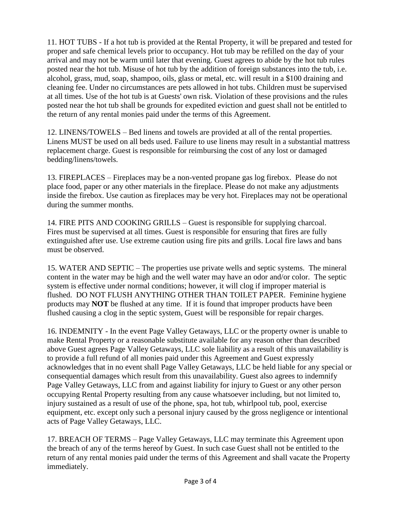11. HOT TUBS - If a hot tub is provided at the Rental Property, it will be prepared and tested for proper and safe chemical levels prior to occupancy. Hot tub may be refilled on the day of your arrival and may not be warm until later that evening. Guest agrees to abide by the hot tub rules posted near the hot tub. Misuse of hot tub by the addition of foreign substances into the tub, i.e. alcohol, grass, mud, soap, shampoo, oils, glass or metal, etc. will result in a \$100 draining and cleaning fee. Under no circumstances are pets allowed in hot tubs. Children must be supervised at all times. Use of the hot tub is at Guests' own risk. Violation of these provisions and the rules posted near the hot tub shall be grounds for expedited eviction and guest shall not be entitled to the return of any rental monies paid under the terms of this Agreement.

12. LINENS/TOWELS – Bed linens and towels are provided at all of the rental properties. Linens MUST be used on all beds used. Failure to use linens may result in a substantial mattress replacement charge. Guest is responsible for reimbursing the cost of any lost or damaged bedding/linens/towels.

13. FIREPLACES – Fireplaces may be a non-vented propane gas log firebox. Please do not place food, paper or any other materials in the fireplace. Please do not make any adjustments inside the firebox. Use caution as fireplaces may be very hot. Fireplaces may not be operational during the summer months.

14. FIRE PITS AND COOKING GRILLS – Guest is responsible for supplying charcoal. Fires must be supervised at all times. Guest is responsible for ensuring that fires are fully extinguished after use. Use extreme caution using fire pits and grills. Local fire laws and bans must be observed.

15. WATER AND SEPTIC – The properties use private wells and septic systems. The mineral content in the water may be high and the well water may have an odor and/or color. The septic system is effective under normal conditions; however, it will clog if improper material is flushed. DO NOT FLUSH ANYTHING OTHER THAN TOILET PAPER. Feminine hygiene products may **NOT** be flushed at any time. If it is found that improper products have been flushed causing a clog in the septic system, Guest will be responsible for repair charges.

16. INDEMNITY - In the event Page Valley Getaways, LLC or the property owner is unable to make Rental Property or a reasonable substitute available for any reason other than described above Guest agrees Page Valley Getaways, LLC sole liability as a result of this unavailability is to provide a full refund of all monies paid under this Agreement and Guest expressly acknowledges that in no event shall Page Valley Getaways, LLC be held liable for any special or consequential damages which result from this unavailability. Guest also agrees to indemnify Page Valley Getaways, LLC from and against liability for injury to Guest or any other person occupying Rental Property resulting from any cause whatsoever including, but not limited to, injury sustained as a result of use of the phone, spa, hot tub, whirlpool tub, pool, exercise equipment, etc. except only such a personal injury caused by the gross negligence or intentional acts of Page Valley Getaways, LLC.

17. BREACH OF TERMS – Page Valley Getaways, LLC may terminate this Agreement upon the breach of any of the terms hereof by Guest. In such case Guest shall not be entitled to the return of any rental monies paid under the terms of this Agreement and shall vacate the Property immediately.